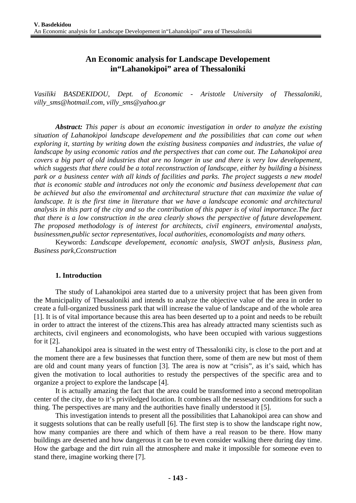# **An Economic analysis for Landscape Developement in"Lahanokipoi" area of Thessaloniki**

*Vasiliki BASDEKIDOU, Dept. of Economic - Aristotle University of Thessaloniki, villy\_sms@hotmail.com, villy\_sms@yahoo.gr* 

*Abstract: This paper is about an economic investigation in order to analyze the existing situation of Lahanokipoi landscape developement and the possibilities that can come out when exploring it, starting by writing down the existing business companies and industries, the value of landscape by using economic ratios and the perspectives that can come out. The Lahanokipoi area covers a big part of old industries that are no longer in use and there is very low developement, which suggests that there could be a total reconstruction of landscape, either by building a bisiness park or a business center with all kinds of facilities and parks. The project suggests a new model that is economic stable and introduces not only the economic and business developement that can be achieved but also the enviromental and architectural structure that can maximize the value of landscape. It is the first time in literature that we have a landscape economic and architectural analysis in this part of the city and so the contribution of this paper is of vital importance.The fact that there is a low construction in the area clearly shows the perspective of future developement. The proposed methodology is of interest for architects, civil engineers, enviromental analysts, businessmen,public sector representatives, local authorities, economologists and many others.*

Keywords: *Landscape developement, economic analysis, SWOT anlysis, Business plan, Business park,Cconstruction* 

#### **1. Introduction**

The study of Lahanokipoi area started due to a university project that has been given from the Municipality of Thessaloniki and intends to analyze the objective value of the area in order to create a full-organized bussiness park that will increase the value of landscape and of the whole area [1]. It is of vital importance because this area has been deserted up to a point and needs to be rebuilt in order to attract the interest of the ctizens.This area has already attracted many scientists such as architects, civil engineers and economologists, who have been occupied with various suggestions for it [2].

Lahanokipoi area is situated in the west entry of Thessaloniki city, is close to the port and at the moment there are a few businesses that function there, some of them are new but most of them are old and count many years of function [3]. The area is now at "crisis", as it's said, which has given the motivation to local authorities to restudy the perspectives of the specific area and to organize a project to explore the landscape [4].

It is actually amazing the fact that the area could be transformed into a second metropolitan center of the city, due to it's priviledged location. It combines all the nessesary conditions for such a thing. The perspectives are many and the authorities have finally understood it [5].

This investigation intends to present all the possibilities that Lahanokipoi area can show and it suggests solutions that can be really usefull [6]. The first step is to show the landscape right now, how many companies are there and which of them have a real reason to be there. How many buildings are deserted and how dangerous it can be to even consider walking there during day time. How the garbage and the dirt ruin all the atmosphere and make it impossible for someone even to stand there, imagine working there [7].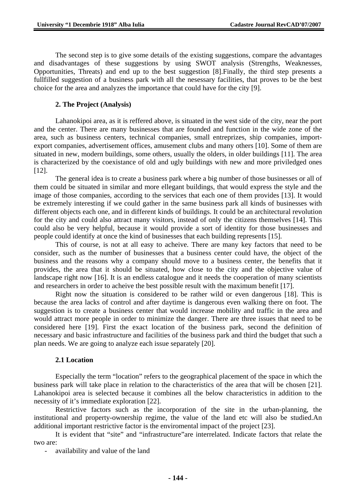The second step is to give some details of the existing suggestions, compare the advantages and disadvantages of these suggestions by using SWOT analysis (Strengths, Weaknesses, Opportunities, Threats) and end up to the best suggestion [8].Finally, the third step presents a fullfilled suggestion of a business park with all the nesessary facilities, that proves to be the best choice for the area and analyzes the importance that could have for the city [9].

### **2. The Project (Analysis)**

Lahanokipoi area, as it is reffered above, is situated in the west side of the city, near the port and the center. There are many businesses that are founded and function in the wide zone of the area, such as business centers, technical companies, small entreprizes, ship companies, importexport companies, advertisement offices, amusement clubs and many others [10]. Some of them are situated in new, modern buildings, some others, usually the olders, in older buildings [11]. The area is characterized by the coexistance of old and ugly buildings with new and more priviledged ones [12].

The general idea is to create a business park where a big number of those businesses or all of them could be situated in similar and more ellegant buildings, that would express the style and the image of those companies, according to the services that each one of them provides [13]. It would be extremely interesting if we could gather in the same business park all kinds of businesses with different objects each one, and in different kinds of buildings. It could be an architectural revolution for the city and could also attract many visitors, instead of only the citizens themselves [14]. This could also be very helpful, because it would provide a sort of identity for those businesses and people could identify at once the kind of businesses that each building represents [15].

This of course, is not at all easy to acheive. There are many key factors that need to be consider, such as the number of businesses that a business center could have, the object of the business and the reasons why a company should move to a business center, the benefits that it provides, the area that it should be situated, how close to the city and the objective value of landscape right now [16]. It is an endless catalogue and it needs the cooperation of many scientists and researchers in order to acheive the best possible result with the maximum benefit [17].

Right now the situation is considered to be rather wild or even dangerous [18]. This is because the area lacks of control and after daytime is dangerous even walking there on foot. The suggestion is to create a business center that would increase mobility and traffic in the area and would attract more people in order to minimize the danger. There are three issues that need to be considered here [19]. First the exact location of the business park, second the definition of necessary and basic infrastructure and facilities of the business park and third the budget that such a plan needs. We are going to analyze each issue separately [20].

#### **2.1 Location**

Especially the term "location" refers to the geographical placement of the space in which the business park will take place in relation to the characteristics of the area that will be chosen [21]. Lahanokipoi area is selected because it combines all the below characteristics in addition to the necessity of it's immediate exploration [22].

Restrictive factors such as the incorporation of the site in the urban-planning, the institutional and property-ownership regime, the value of the land etc will also be studied.An additional important restrictive factor is the enviromental impact of the project [23].

It is evident that "site" and "infrastructure"are interrelated. Indicate factors that relate the two are:

- availability and value of the land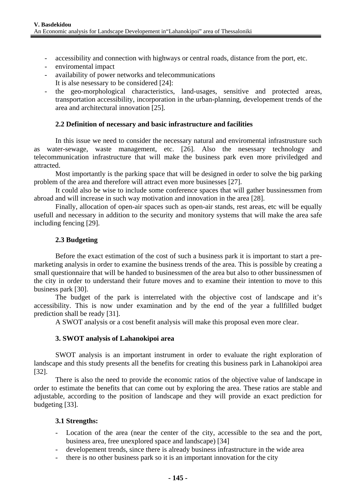- accessibility and connection with highways or central roads, distance from the port, etc.
- enviromental impact
- availability of power networks and telecommunications
	- It is alse nesessary to be considered [24]:
- the geo-morphological characteristics, land-usages, sensitive and protected areas, transportation accessibility, incorporation in the urban-planning, developement trends of the area and architectural innovation [25].

## **2.2 Definition of necessary and basic infrastructure and facilities**

In this issue we need to consider the necessary natural and enviromental infrastrusture such as water-sewage, waste management, etc. [26]. Also the nesessary technology and telecommunication infrastructure that will make the business park even more priviledged and attracted.

Most importantly is the parking space that will be designed in order to solve the big parking problem of the area and therefore will attract even more businesses [27].

It could also be wise to include some conference spaces that will gather bussinessmen from abroad and will increase in such way motivation and innovation in the area [28].

Finally, allocation of open-air spaces such as open-air stands, rest areas, etc will be equally usefull and necessary in addition to the security and monitory systems that will make the area safe including fencing [29].

## **2.3 Budgeting**

Before the exact estimation of the cost of such a business park it is important to start a premarketing analysis in order to examine the business trends of the area. This is possible by creating a small questionnaire that will be handed to businessmen of the area but also to other bussinessmen of the city in order to understand their future moves and to examine their intention to move to this business park [30].

The budget of the park is interrelated with the objective cost of landscape and it's accessibility. This is now under examination and by the end of the year a fullfilled budget prediction shall be ready [31].

A SWOT analysis or a cost benefit analysis will make this proposal even more clear.

### **3. SWOT analysis of Lahanokipoi area**

SWOT analysis is an important instrument in order to evaluate the right exploration of landscape and this study presents all the benefits for creating this business park in Lahanokipoi area [32].

There is also the need to provide the economic ratios of the objective value of landscape in order to estimate the benefits that can come out by exploring the area. These ratios are stable and adjustable, according to the position of landscape and they will provide an exact prediction for budgeting [33].

### **3.1 Strengths:**

- Location of the area (near the center of the city, accessible to the sea and the port, business area, free unexplored space and landscape) [34]
- developement trends, since there is already business infrastructure in the wide area
- there is no other business park so it is an important innovation for the city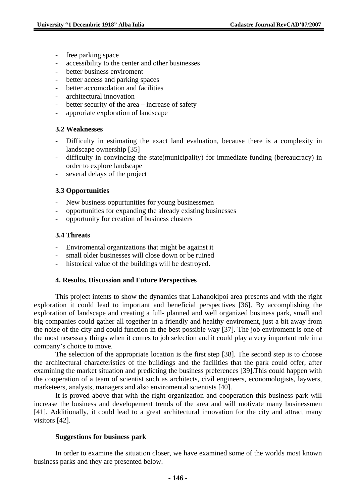- free parking space
- accessibility to the center and other businesses
- better business enviroment
- better access and parking spaces
- better accomodation and facilities
- architectural innovation
- better security of the area increase of safety
- approriate exploration of landscape

#### **3.2 Weaknesses**

- Difficulty in estimating the exact land evaluation, because there is a complexity in landscape ownership [35]
- difficulty in convincing the state(municipality) for immediate funding (bereaucracy) in order to explore landscape
- several delays of the project

### **3.3 Opportunities**

- New business oppurtunities for young businessmen
- opportunities for expanding the already existing businesses
- opportunity for creation of business clusters

#### **3.4 Threats**

- Enviromental organizations that might be against it
- small older businesses will close down or be ruined
- historical value of the buildings will be destroyed.

#### **4. Results, Discussion and Future Perspectives**

This project intents to show the dynamics that Lahanokipoi area presents and with the right exploration it could lead to important and beneficial perspectives [36]. By accomplishing the exploration of landscape and creating a full- planned and well organized business park, small and big companies could gather all together in a friendly and healthy enviroment, just a bit away from the noise of the city and could function in the best possible way [37]. The job enviroment is one of the most nesessary things when it comes to job selection and it could play a very important role in a company's choice to move.

The selection of the appropriate location is the first step [38]. The second step is to choose the architectural characteristics of the buildings and the facilities that the park could offer, after examining the market situation and predicting the business preferences [39].This could happen with the cooperation of a team of scientist such as architects, civil engineers, economologists, laywers, marketeers, analysts, managers and also enviromental scientists [40].

It is proved above that with the right organization and cooperation this business park will increase the business and developement trends of the area and will motivate many businessmen [41]. Additionally, it could lead to a great architectural innovation for the city and attract many visitors [42].

#### **Suggestions for business park**

In order to examine the situation closer, we have examined some of the worlds most known business parks and they are presented below.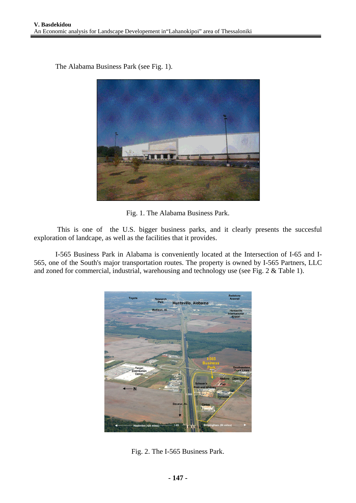The Alabama Business Park (see Fig. 1).



Fig. 1. The Alabama Business Park.

 This is one of the U.S. bigger business parks, and it clearly presents the succesful exploration of landcape, as well as the facilities that it provides.

I-565 Business Park in Alabama is conveniently located at the Intersection of I-65 and I-565, one of the South's major transportation routes. The property is owned by I-565 Partners, LLC and zoned for commercial, industrial, warehousing and technology use (see Fig. 2 & Table 1).



Fig. 2. The I-565 Business Park.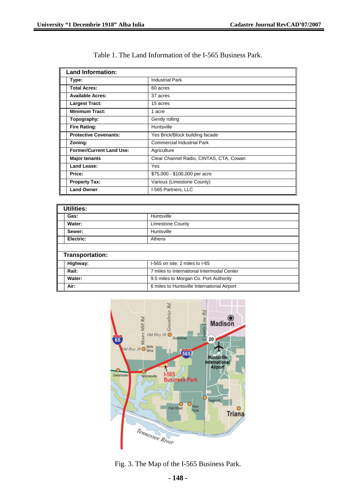| <b>Land Information:</b>        |                                         |
|---------------------------------|-----------------------------------------|
| Type:                           | <b>Industrial Park</b>                  |
| <b>Total Acres:</b>             | 60 acres                                |
| <b>Available Acres:</b>         | 37 acres                                |
| <b>Largest Tract:</b>           | 15 acres                                |
| <b>Minimum Tract:</b>           | 1 acre                                  |
| Topography:                     | Gently rolling                          |
| <b>Fire Rating:</b>             | Huntsville                              |
| <b>Protective Covenants:</b>    | Yes Brick/Block building facade         |
| Zoning:                         | <b>Commercial Industrial Park</b>       |
| <b>Former/Current Land Use:</b> | Agriculture                             |
| <b>Major tenants</b>            | Clear Channel Radio, CINTAS, CTA, Cowan |
| Land Lease:                     | <b>Yes</b>                              |
| Price:                          | \$75,000 - \$100,000 per acre           |
| <b>Property Tax:</b>            | Various (Limestone County)              |
| <b>Land Owner</b>               | I-565 Partners, LLC                     |

| Table 1. The Land Information of the I-565 Business Park. |  |
|-----------------------------------------------------------|--|
|-----------------------------------------------------------|--|

| <b>Utilities:</b> |                                             |  |
|-------------------|---------------------------------------------|--|
| Gas:              | Huntsville                                  |  |
| Water:            | <b>Limestone County</b>                     |  |
| Sewer:            | Huntsville                                  |  |
| Electric:         | Athens                                      |  |
|                   |                                             |  |
| Transportation:   |                                             |  |
| Highway:          | I-565 on site; 2 miles to I-65              |  |
| Rail:             | 7 miles to International Intermodal Center  |  |
| Water:            | 9.5 miles to Morgan Co. Port Authority      |  |
| Air:              | 6 miles to Huntsville International Airport |  |



Fig. 3. The Map of the I-565 Business Park.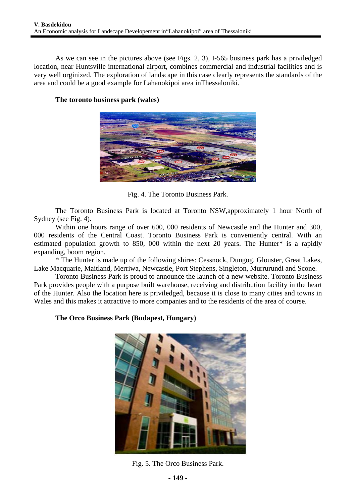As we can see in the pictures above (see Figs. 2, 3), I-565 business park has a priviledged location, near Huntsville international airport, combines commercial and industrial facilities and is very well orginized. The exploration of landscape in this case clearly represents the standards of the area and could be a good example for Lahanokipoi area inThessaloniki.



## **The toronto business park (wales)**

Fig. 4. The Toronto Business Park.

The Toronto Business Park is located at Toronto NSW,approximately 1 hour North of Sydney (see Fig. 4).

Within one hours range of over 600, 000 residents of Newcastle and the Hunter and 300, 000 residents of the Central Coast. Toronto Business Park is conveniently central. With an estimated population growth to 850, 000 within the next 20 years. The Hunter\* is a rapidly expanding, boom region.

\* The Hunter is made up of the following shires: Cessnock, Dungog, Glouster, Great Lakes, Lake Macquarie, Maitland, Merriwa, Newcastle, Port Stephens, Singleton, Murrurundi and Scone.

Toronto Business Park is proud to announce the launch of a new website. Toronto Business Park provides people with a purpose built warehouse, receiving and distribution facility in the heart of the Hunter. Also the location here is priviledged, because it is close to many cities and towns in Wales and this makes it attractive to more companies and to the residents of the area of course.

## **The Orco Business Park (Budapest, Hungary)**



Fig. 5. The Orco Business Park.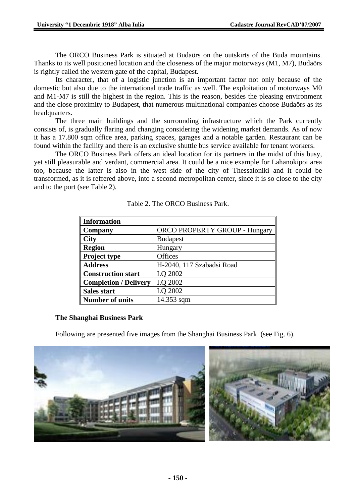The ORCO Business Park is situated at Budaörs on the outskirts of the Buda mountains. Thanks to its well positioned location and the closeness of the major motorways (M1, M7), Budaörs is rightly called the western gate of the capital, Budapest.

Its character, that of a logistic junction is an important factor not only because of the domestic but also due to the international trade traffic as well. The exploitation of motorways M0 and M1-M7 is still the highest in the region. This is the reason, besides the pleasing environment and the close proximity to Budapest, that numerous multinational companies choose Budaörs as its headquarters.

The three main buildings and the surrounding infrastructure which the Park currently consists of, is gradually flaring and changing considering the widening market demands. As of now it has a 17.800 sqm office area, parking spaces, garages and a notable garden. Restaurant can be found within the facility and there is an exclusive shuttle bus service available for tenant workers.

The ORCO Business Park offers an ideal location for its partners in the midst of this busy, yet still pleasurable and verdant, commercial area. It could be a nice example for Lahanokipoi area too, because the latter is also in the west side of the city of Thessaloniki and it could be transformed, as it is reffered above, into a second metropolitan center, since it is so close to the city and to the port (see Table 2).

| <b>Information</b>           |                                      |
|------------------------------|--------------------------------------|
| Company                      | <b>ORCO PROPERTY GROUP - Hungary</b> |
| <b>City</b>                  | <b>Budapest</b>                      |
| <b>Region</b>                | Hungary                              |
| Project type                 | Offices                              |
| <b>Address</b>               | H-2040, 117 Szabadsi Road            |
| <b>Construction start</b>    | I.Q 2002                             |
| <b>Completion / Delivery</b> | I.Q 2002                             |
| <b>Sales start</b>           | I.Q 2002                             |
| <b>Number of units</b>       | 14.353 sqm                           |

Table 2. The ORCO Business Park.

## **The Shanghai Business Park**

Following are presented five images from the Shanghai Business Park (see Fig. 6).

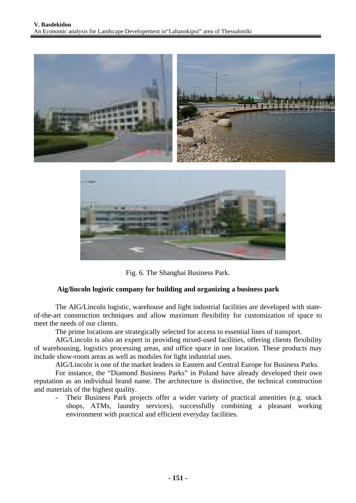



Fig. 6. The Shanghai Business Park.

### **Aig/lincoln logistic company for building and organizing a business park**

The AIG/Lincoln logistic, warehouse and light industrial facilities are developed with stateof-the-art construction techniques and allow maximum flexibility for customization of space to meet the needs of our clients.

The prime locations are strategically selected for access to essential lines of transport.

AIG/Lincoln is also an expert in providing mixed-used facilities, offering clients flexibility of warehousing, logistics processing areas, and office space in one location. These products may include show-room areas as well as modules for light industrial uses.

AIG/Lincoln is one of the market leaders in Eastern and Central Europe for Business Parks.

For instance, the "Diamond Business Parks" in Poland have already developed their own reputation as an individual brand name. The architecture is distinctive, the technical construction and materials of the highest quality.

- Their Business Park projects offer a wider variety of practical amenities (e.g. snack shops, ATMs, laundry services), successfully combining a pleasant working environment with practical and efficient everyday facilities.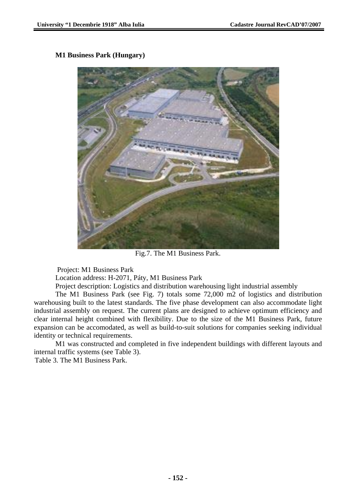## **M1 Business Park (Hungary)**



Fig.7. The M1 Business Park.

Project: M1 Business Park

Location address: H-2071, Páty, M1 Business Park

Project description: Logistics and distribution warehousing light industrial assembly

The M1 Business Park (see Fig. 7) totals some 72,000 m2 of logistics and distribution warehousing built to the latest standards. The five phase development can also accommodate light industrial assembly on request. The current plans are designed to achieve optimum efficiency and clear internal height combined with flexibility. Due to the size of the M1 Business Park, future expansion can be accomodated, as well as build-to-suit solutions for companies seeking individual identity or technical requirements.

M1 was constructed and completed in five independent buildings with different layouts and internal traffic systems (see Table 3).

Table 3. The M1 Business Park.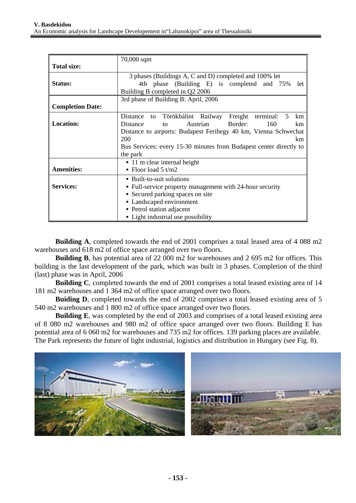|                         | $70,000$ sqm                                                       |  |
|-------------------------|--------------------------------------------------------------------|--|
| <b>Total size:</b>      |                                                                    |  |
|                         | 3 phases (Buildings A, C and D) completed and 100% let             |  |
| <b>Status:</b>          | 4th phase (Building E) is completed and 75%<br>let                 |  |
|                         | Building B completed in Q2 2006                                    |  |
|                         | 3rd phase of Building B: April, 2006                               |  |
| <b>Completion Date:</b> |                                                                    |  |
|                         | Törökbálint Railway<br>Freight terminal: 5<br>Distance to<br>km    |  |
| <b>Location:</b>        | Border:<br>Distance<br>Austrian<br>160<br>km.<br>to                |  |
|                         | Distance to airports: Budapest Ferihegy 40 km, Vienna Schwechat    |  |
|                         | 200<br>km                                                          |  |
|                         | Bus Services: every 15-30 minutes from Budapest center directly to |  |
|                         | the park                                                           |  |
|                         | $\blacksquare$ 11 m clear internal height                          |  |
| <b>Amenities:</b>       | • Floor load 5 $t/m2$                                              |  |
|                         | • Built-to-suit solutions                                          |  |
| <b>Services:</b>        | • Full-service property management with 24-hour security           |  |
|                         | • Secured parking spaces on site                                   |  |
|                         | • Landscaped environment                                           |  |
|                         | • Petrol station adjacent                                          |  |
|                         | • Light industrial use possibility                                 |  |

 **Building A**, completed towards the end of 2001 comprises a total leased area of 4 088 m2 warehouses and 618 m2 of office space arranged over two floors.

 **Building B**, has potential area of 22 000 m2 for warehouses and 2 695 m2 for offices. This building is the last development of the park, which was built in 3 phases. Completion of the third (last) phase was in April, 2006

 **Building C**, completed towards the end of 2001 comprises a total leased existing area of 14 181 m2 warehouses and 1 364 m2 of office space arranged over two floors.

**Buiding D**, completed towards the end of 2002 comprises a total leased existing area of 5 540 m2 warehouses and 1 800 m2 of office space arranged over two floors.

**Building E**, was completed by the end of 2003 and comprises of a total leased existing area of 8 080 m2 warehouses and 980 m2 of office space arranged over two floors. Building E has potential area of 6 060 m2 for warehouses and 735 m2 for offices. 139 parking places are available. The Park represents the future of light industrial, logistics and distribution in Hungary (see Fig. 8).

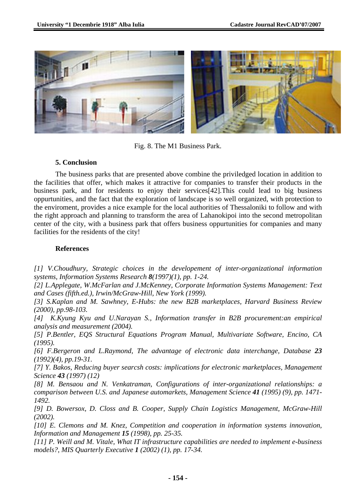

Fig. 8. The M1 Business Park.

## **5. Conclusion**

The business parks that are presented above combine the priviledged location in addition to the facilities that offer, which makes it attractive for companies to transfer their products in the business park, and for residents to enjoy their services[42].This could lead to big business oppurtunities, and the fact that the exploration of landscape is so well organized, with protection to the enviroment, provides a nice example for the local authorities of Thessaloniki to follow and with the right approach and planning to transform the area of Lahanokipoi into the second metropolitan center of the city, with a business park that offers business oppurtunities for companies and many facilities for the residents of the city!

## **References**

*[1] V.Choudhury, Strategic choices in the developement of inter-organizational information systems, Information Systems Research 8(1997)(1), pp. 1-24.* 

*[2] L.Applegate, W.McFarlan and J.McKenney, Corporate Information Systems Management: Text and Cases (fifth.ed.), Irwin/McGraw-Hill, New York (1999).* 

*[3] S.Kaplan and M. Sawhney, E-Hubs: the new B2B marketplaces, Harvard Business Review (2000), pp.98-103.* 

*[4] K.Kyung Kyu and U.Narayan S., Information transfer in B2B procurement:an empirical analysis and measurement (2004).* 

*[5] P.Bentler, EQS Structural Equations Program Manual, Multivariate Software, Encino, CA (1995).* 

*[6] F.Bergeron and L.Raymond, The advantage of electronic data interchange, Database 23 (1992)(4), pp.19-31.* 

*[7] Y. Bakos, Reducing buyer searcsh costs: implications for electronic marketplaces, Management Science 43 (1997) (12)* 

*[8] M. Bensaou and N. Venkatraman, Configurations of inter-organizational relationships: a comparison between U.S. and Japanese automarkets, Management Science 41 (1995) (9), pp. 1471- 1492.* 

*[9] D. Bowersox, D. Closs and B. Cooper, Supply Chain Logistics Management, McGraw-Hill (2002).* 

*[10] E. Clemons and M. Knez, Competition and cooperation in information systems innovation, Information and Management 15 (1998), pp. 25-35.* 

*[11] P. Weill and M. Vitale, What IT infrastructure capabilities are needed to implement e-business models?, MIS Quarterly Executive 1 (2002) (1), pp. 17-34.*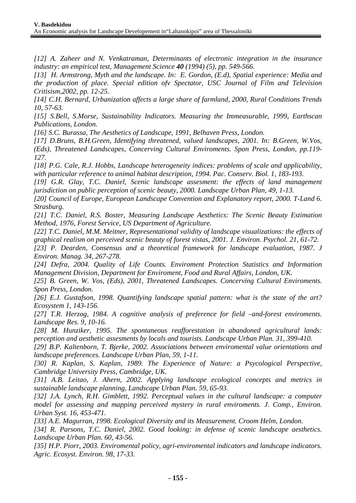*[12] A. Zaheer and N. Venkatraman, Determinants of electronic integration in the insurance industry: an empirical test, Management Science 40 (1994) (5), pp. 549-566.* 

*[13] H. Armstrong, Myth and the landscape. In: E. Gordon, (E.d), Spatial experience: Media and the production of place. Special edition ofv Spectator, USC Journal of Film and Television Critisism,2002, pp. 12-25.* 

*[14] C.H. Bernard, Urbanization affects a large share of farmland, 2000, Rural Conditions Trends 10, 57-63.* 

*[15] S.Bell, S.Morse, Sustainability Indicators. Measuring the Immeasurable, 1999, Earthscan Publications, London.* 

*[16] S.C. Burassa, The Aesthetics of Landscape, 1991, Belhaven Press, London.* 

*[17] D.Bruns, B.H.Green, Identifying threatened, valued landscapes, 2001. In: B.Green, W.Vos, (Eds), Threatened Landscapes, Concerving Cultural Enviroments. Spon Press, London, pp.119- 127.* 

*[18] P.G. Cale, R.J. Hobbs, Landscape heterogeneity indices: problems of scale and applicability, with particular reference to animal habitat description, 1994. Pac. Conserv. Biol. 1, 183-193.* 

*[19] G.R. Glay, T.C. Daniel, Scenic landscape assesment: the effects of land management jurisdiction on public perception of scenic beauty, 2000. Landscape Urban Plan, 49, 1-13.* 

*[20] Council of Europe, European Landscape Convention and Explanatory report, 2000. T-Land 6. Strasburg.* 

*[21] T.C. Daniel, R.S. Boster, Measuring Landscape Aesthetics: The Scenic Beauty Estimation Method, 1976, Forest Service, US Department of Agriculture.* 

*[22] T.C. Daniel, M.M. Meitner, Representational validity of landscape visualizations: the effects of graphical realism on perceived scenic beauty of forest vistas, 2001. J. Environ. Psychol. 21, 61-72.* 

*[23] P. Dearden, Consensus and a theoretical framework for landscape evaluation, 1987. J Environ. Manag. 34, 267-278.* 

*[24] Defra, 2004. Quality of Life Counts. Enviroment Protection Statistics and Information Management Division, Department for Enviroment, Food and Rural Affairs, London, UK.* 

*[25] B. Green, W. Vos, (Eds), 2001, Threatened Landscapes. Concerving Cultural Enviroments. Spon Press, London.* 

*[26] E.J. Gustafson, 1998. Quantifying landscape spatial pattern: what is the state of the art? Ecosystem 1, 143-156.* 

*[27] T.R. Herzog, 1984. A cognitive analysis of preference for field –and-forest enviroments. Landscape Res. 9, 10-16.* 

*[28] M. Hunziker, 1995. The spontaneous reafforestation in abandoned agricultural lands: perception and aesthetic assesments by locals and tourists. Landscape Urban Plan. 31, 399-410.* 

*[29] B.P. Kaltenborn, T. Bjerke, 2002. Associations between enviromental value orientations and landscape preferences. Landscape Urban Plan, 59, 1-11.* 

*[30] R. Kaplan, S. Kaplan, 1989. The Experience of Nature: a Psycological Perspective, Cambridge University Press, Cambridge, UK.* 

*[31] A.B. Leitao, J. Ahern, 2002. Applying landscape ecological concepts and metrics in sustainable landscape planning, Landscape Urban Plan. 59, 65-93.* 

*[32] J.A. Lynch, R.H. Gimblett, 1992. Perceptual values in the cultural landscape: a computer model for assessing and mapping perceived mystery in rural enviroments. J. Comp., Environ. Urban Syst. 16, 453-471.* 

*[33] A.E. Magurran, 1998. Ecological Diversity and its Measurement. Croom Helm, London.* 

*[34] R. Parsons, T.C. Daniel, 2002. Good looking: in defense of scenic landscape aesthetics. Landscape Urban Plan. 60, 43-56.* 

*[35] H.P. Piorr, 2003. Enviromental policy, agri-enviromental indicators and landscape indicators. Agric. Ecosyst. Environ. 98, 17-33.*